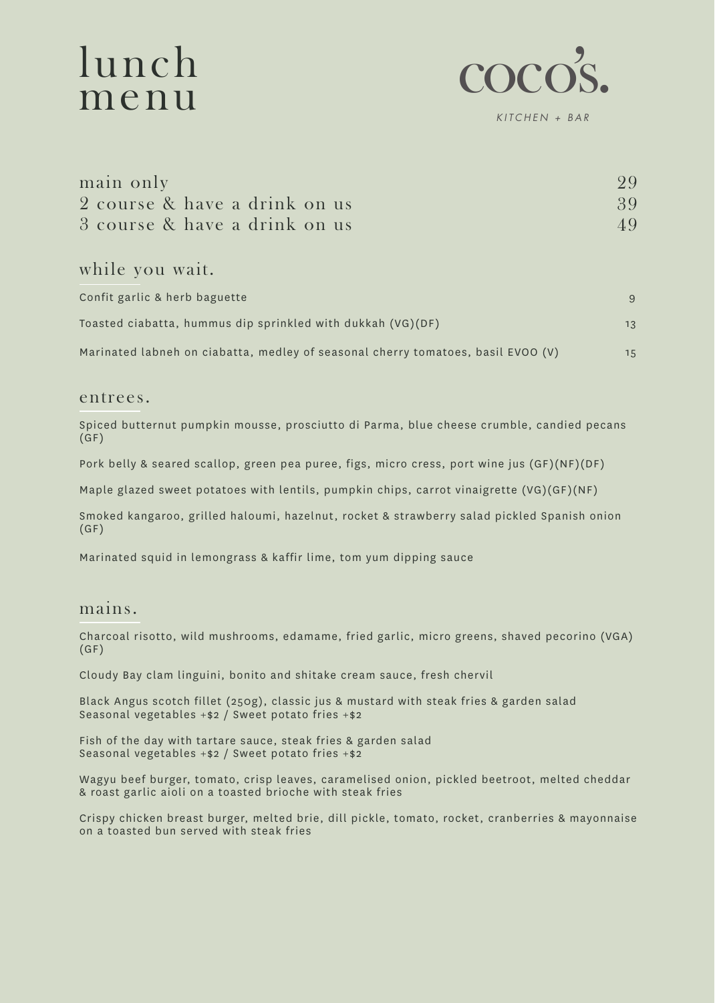# lunch menu



main only 2 course & have a drink on us 3 course & have a drink on us 29 39 49

while you wait.

| Confit garlic & herb baguette                                                    | -9  |
|----------------------------------------------------------------------------------|-----|
| Toasted ciabatta, hummus dip sprinkled with dukkah (VG)(DF)                      | 1.3 |
| Marinated labneh on ciabatta, medley of seasonal cherry tomatoes, basil EVOO (V) | 1.5 |

### entrees.

Spiced butternut pumpkin mousse, prosciutto di Parma, blue cheese crumble, candied pecans (GF)

Pork belly & seared scallop, green pea puree, figs, micro cress, port wine jus (GF)(NF)(DF)

Maple glazed sweet potatoes with lentils, pumpkin chips, carrot vinaigrette (VG)(GF)(NF)

Smoked kangaroo, grilled haloumi, hazelnut, rocket & strawberry salad pickled Spanish onion (GF)

Marinated squid in lemongrass & kaffir lime, tom yum dipping sauce

## mains.

Charcoal risotto, wild mushrooms, edamame, fried garlic, micro greens, shaved pecorino (VGA)  $(GF)$ 

Cloudy Bay clam linguini, bonito and shitake cream sauce, fresh chervil

Black Angus scotch fillet (250g), classic jus & mustard with steak fries & garden salad Seasonal vegetables +\$2 / Sweet potato fries +\$2

Fish of the day with tartare sauce, steak fries & garden salad Seasonal vegetables +\$2 / Sweet potato fries +\$2

Wagyu beef burger, tomato, crisp leaves, caramelised onion, pickled beetroot, melted cheddar & roast garlic aioli on a toasted brioche with steak fries

Crispy chicken breast burger, melted brie, dill pickle, tomato, rocket, cranberries & mayonnaise on a toasted bun served with steak fries